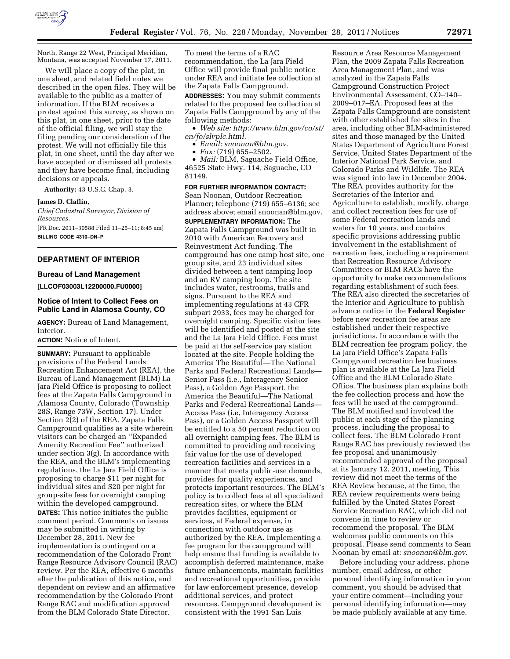

North, Range 22 West, Principal Meridian, Montana, was accepted November 17, 2011.

We will place a copy of the plat, in one sheet, and related field notes we described in the open files. They will be available to the public as a matter of information. If the BLM receives a protest against this survey, as shown on this plat, in one sheet, prior to the date of the official filing, we will stay the filing pending our consideration of the protest. We will not officially file this plat, in one sheet, until the day after we have accepted or dismissed all protests and they have become final, including decisions or appeals.

**Authority:** 43 U.S.C. Chap. 3.

#### **James D. Claflin,**

*Chief Cadastral Surveyor, Division of Resources.*  [FR Doc. 2011–30588 Filed 11–25–11; 8:45 am] **BILLING CODE 4310–DN–P** 

# **DEPARTMENT OF INTERIOR**

# **Bureau of Land Management**

# **[LLCOF03003L12200000.FU0000]**

# **Notice of Intent to Collect Fees on Public Land in Alamosa County, CO**

**AGENCY:** Bureau of Land Management, Interior.

### **ACTION:** Notice of Intent.

**SUMMARY:** Pursuant to applicable provisions of the Federal Lands Recreation Enhancement Act (REA), the Bureau of Land Management (BLM) La Jara Field Office is proposing to collect fees at the Zapata Falls Campground in Alamosa County, Colorado (Township 28S, Range 73W, Section 17). Under Section 2(2) of the REA, Zapata Falls Campground qualifies as a site wherein visitors can be charged an ''Expanded Amenity Recreation Fee'' authorized under section 3(g). In accordance with the REA, and the BLM's implementing regulations, the La Jara Field Office is proposing to charge \$11 per night for individual sites and \$20 per night for group-site fees for overnight camping within the developed campground.

**DATES:** This notice initiates the public comment period. Comments on issues may be submitted in writing by December 28, 2011. New fee implementation is contingent on a recommendation of the Colorado Front Range Resource Advisory Council (RAC) review. Per the REA, effective 6 months after the publication of this notice, and dependent on review and an affirmative recommendation by the Colorado Front Range RAC and modification approval from the BLM Colorado State Director.

To meet the terms of a RAC recommendation, the La Jara Field Office will provide final public notice under REA and initiate fee collection at the Zapata Falls Campground.

**ADDRESSES:** You may submit comments related to the proposed fee collection at Zapata Falls Campground by any of the following methods:

• *Web site: [http://www.blm.gov/co/st/](http://www.blm.gov/co/st/en/fo/slvplc.html)  [en/fo/slvplc.html.](http://www.blm.gov/co/st/en/fo/slvplc.html)* 

• *Email: [snoonan@blm.gov.](mailto:snoonan@blm.gov)* 

• *Fax:* (719) 655–2502.

• *Mail:* BLM, Saguache Field Office, 46525 State Hwy. 114, Saguache, CO 81149.

# **FOR FURTHER INFORMATION CONTACT:**

Sean Noonan, Outdoor Recreation Planner; telephone (719) 655–6136; see address above; email [snoonan@blm.gov.](mailto:snoonan@blm.gov)  **SUPPLEMENTARY INFORMATION:** The

Zapata Falls Campground was built in 2010 with American Recovery and Reinvestment Act funding. The campground has one camp host site, one group site, and 23 individual sites divided between a tent camping loop and an RV camping loop. The site includes water, restrooms, trails and signs. Pursuant to the REA and implementing regulations at 43 CFR subpart 2933, fees may be charged for overnight camping. Specific visitor fees will be identified and posted at the site and the La Jara Field Office. Fees must be paid at the self-service pay station located at the site. People holding the America The Beautiful—The National Parks and Federal Recreational Lands— Senior Pass (i.e., Interagency Senior Pass), a Golden Age Passport, the America the Beautiful—The National Parks and Federal Recreational Lands— Access Pass (i.e, Interagency Access Pass), or a Golden Access Passport will be entitled to a 50 percent reduction on all overnight camping fees. The BLM is committed to providing and receiving fair value for the use of developed recreation facilities and services in a manner that meets public-use demands, provides for quality experiences, and protects important resources. The BLM's policy is to collect fees at all specialized recreation sites, or where the BLM provides facilities, equipment or services, at Federal expense, in connection with outdoor use as authorized by the REA. Implementing a fee program for the campground will help ensure that funding is available to accomplish deferred maintenance, make future enhancements, maintain facilities and recreational opportunities, provide for law enforcement presence, develop additional services, and protect resources. Campground development is consistent with the 1991 San Luis

Resource Area Resource Management Plan, the 2009 Zapata Falls Recreation Area Management Plan, and was analyzed in the Zapata Falls Campground Construction Project Environmental Assessment, CO–140– 2009–017–EA. Proposed fees at the Zapata Falls Campground are consistent with other established fee sites in the area, including other BLM-administered sites and those managed by the United States Department of Agriculture Forest Service, United States Department of the Interior National Park Service, and Colorado Parks and Wildlife. The REA was signed into law in December 2004. The REA provides authority for the Secretaries of the Interior and Agriculture to establish, modify, charge and collect recreation fees for use of some Federal recreation lands and waters for 10 years, and contains specific provisions addressing public involvement in the establishment of recreation fees, including a requirement that Recreation Resource Advisory Committees or BLM RACs have the opportunity to make recommendations regarding establishment of such fees. The REA also directed the secretaries of the Interior and Agriculture to publish advance notice in the **Federal Register**  before new recreation fee areas are established under their respective jurisdictions. In accordance with the BLM recreation fee program policy, the La Jara Field Office's Zapata Falls Campground recreation fee business plan is available at the La Jara Field Office and the BLM Colorado State Office. The business plan explains both the fee collection process and how the fees will be used at the campground. The BLM notified and involved the public at each stage of the planning process, including the proposal to collect fees. The BLM Colorado Front Range RAC has previously reviewed the fee proposal and unanimously recommended approval of the proposal at its January 12, 2011, meeting. This review did not meet the terms of the REA Review because, at the time, the REA review requirements were being fulfilled by the United States Forest Service Recreation RAC, which did not convene in time to review or recommend the proposal. The BLM welcomes public comments on this proposal. Please send comments to Sean Noonan by email at: *[snoonan@blm.gov.](mailto:snoonan@blm.gov)* 

Before including your address, phone number, email address, or other personal identifying information in your comment, you should be advised that your entire comment—including your personal identifying information—may be made publicly available at any time.